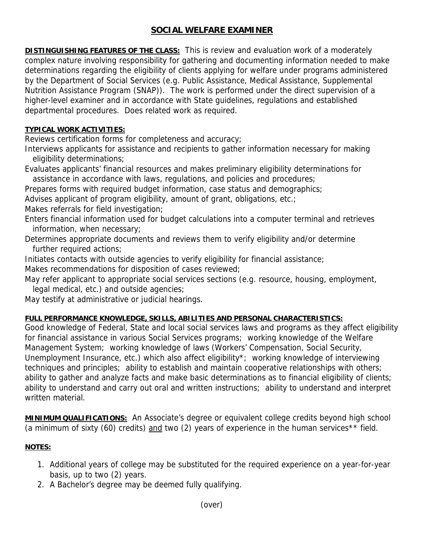## **SOCIAL WELFARE EXAMINER**

**DISTINGUISHING FEATURES OF THE CLASS:** This is review and evaluation work of a moderately complex nature involving responsibility for gathering and documenting information needed to make determinations regarding the eligibility of clients applying for welfare under programs administered by the Department of Social Services (e.g. Public Assistance, Medical Assistance, Supplemental Nutrition Assistance Program (SNAP)). The work is performed under the direct supervision of a higher-level examiner and in accordance with State guidelines, regulations and established departmental procedures. Does related work as required.

## **TYPICAL WORK ACTIVITIES:**

Reviews certification forms for completeness and accuracy;

Interviews applicants for assistance and recipients to gather information necessary for making eligibility determinations;

Evaluates applicants' financial resources and makes preliminary eligibility determinations for assistance in accordance with laws, regulations, and policies and procedures;

Prepares forms with required budget information, case status and demographics;

Advises applicant of program eligibility, amount of grant, obligations, etc.;

Makes referrals for field investigation;

Enters financial information used for budget calculations into a computer terminal and retrieves information, when necessary;

Determines appropriate documents and reviews them to verify eligibility and/or determine further required actions;

Initiates contacts with outside agencies to verify eligibility for financial assistance;

Makes recommendations for disposition of cases reviewed;

May refer applicant to appropriate social services sections (e.g. resource, housing, employment, legal medical, etc.) and outside agencies;

May testify at administrative or judicial hearings.

## **FULL PERFORMANCE KNOWLEDGE, SKILLS, ABILITIES AND PERSONAL CHARACTERISTICS:**

Good knowledge of Federal, State and local social services laws and programs as they affect eligibility for financial assistance in various Social Services programs; working knowledge of the Welfare Management System; working knowledge of laws (Workers' Compensation, Social Security, Unemployment Insurance, etc.) which also affect eligibility\*; working knowledge of interviewing techniques and principles; ability to establish and maintain cooperative relationships with others; ability to gather and analyze facts and make basic determinations as to financial eligibility of clients; ability to understand and carry out oral and written instructions; ability to understand and interpret written material.

**MINIMUM QUALIFICATIONS:** An Associate's degree or equivalent college credits beyond high school (a minimum of sixty (60) credits) and two (2) years of experience in the human services<sup>\*\*</sup> field.

## **NOTES:**

- 1. Additional years of college may be substituted for the required experience on a year-for-year basis, up to two (2) years.
- 2. A Bachelor's degree may be deemed fully qualifying.